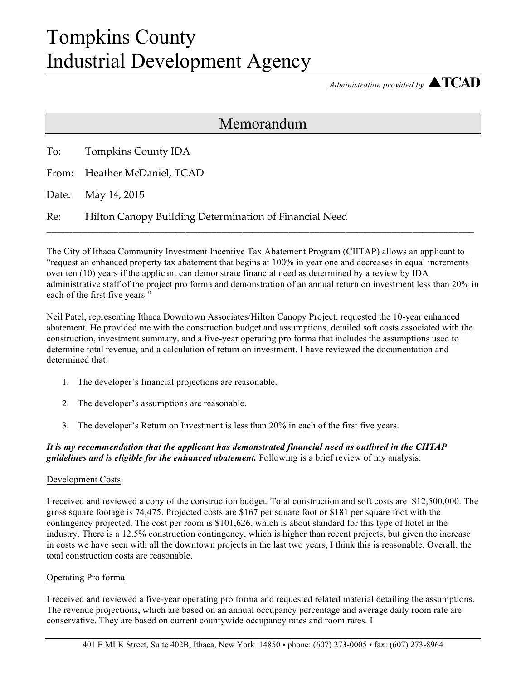## Tompkins County Industrial Development Agency

*Administration provided by* ▲**TCAD**

### Memorandum

|     | To: Tompkins County IDA                                |
|-----|--------------------------------------------------------|
|     | From: Heather McDaniel, TCAD                           |
|     | Date: May 14, 2015                                     |
| Re: | Hilton Canopy Building Determination of Financial Need |

The City of Ithaca Community Investment Incentive Tax Abatement Program (CIITAP) allows an applicant to "request an enhanced property tax abatement that begins at 100% in year one and decreases in equal increments over ten (10) years if the applicant can demonstrate financial need as determined by a review by IDA administrative staff of the project pro forma and demonstration of an annual return on investment less than 20% in each of the first five years."

Neil Patel, representing Ithaca Downtown Associates/Hilton Canopy Project, requested the 10-year enhanced abatement. He provided me with the construction budget and assumptions, detailed soft costs associated with the construction, investment summary, and a five-year operating pro forma that includes the assumptions used to determine total revenue, and a calculation of return on investment. I have reviewed the documentation and determined that:

- 1. The developer's financial projections are reasonable.
- 2. The developer's assumptions are reasonable.
- 3. The developer's Return on Investment is less than 20% in each of the first five years.

*It is my recommendation that the applicant has demonstrated financial need as outlined in the CIITAP guidelines and is eligible for the enhanced abatement.* Following is a brief review of my analysis:

#### Development Costs

I received and reviewed a copy of the construction budget. Total construction and soft costs are \$12,500,000. The gross square footage is 74,475. Projected costs are \$167 per square foot or \$181 per square foot with the contingency projected. The cost per room is \$101,626, which is about standard for this type of hotel in the industry. There is a 12.5% construction contingency, which is higher than recent projects, but given the increase in costs we have seen with all the downtown projects in the last two years, I think this is reasonable. Overall, the total construction costs are reasonable.

#### Operating Pro forma

I received and reviewed a five-year operating pro forma and requested related material detailing the assumptions. The revenue projections, which are based on an annual occupancy percentage and average daily room rate are conservative. They are based on current countywide occupancy rates and room rates. I